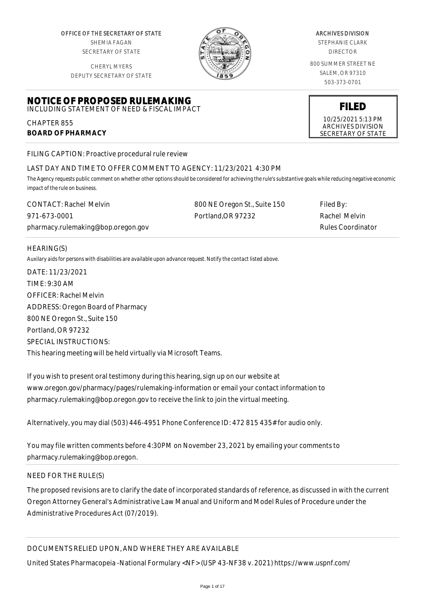OFFICE OF THE SECRETARY OF STATE SHEMIA FAGAN SECRETARY OF STATE

CHERYL MYERS DEPUTY SECRETARY OF STATE

**NOTICE OF PROPOSED RULEMAKING** INCLUDING STATEMENT OF NEED & FISCAL IMPACT



#### ARCHIVES DIVISION

STEPHANIE CLARK DIRECTOR

800 SUMMER STREET NE SALEM, OR 97310 503-373-0701

**FILED**

10/25/2021 5:13 PM ARCHIVES DIVISION SECRETARY OF STATE

FILING CAPTION: Proactive procedural rule review

# LAST DAY AND TIME TO OFFER COMMENT TO AGENCY: 11/23/2021 4:30 PM

*The Agency requests public comment on whether other options should be considered for achieving the rule's substantive goals while reducing negative economic impact of the rule on business.*

| <b>CONTACT: Rachel Melvin</b>      | 800 NE Oregon St., Suite 150 | Filed By:         |
|------------------------------------|------------------------------|-------------------|
| 971-673-0001                       | Portland.OR 97232            | Rachel Melvin     |
| pharmacy.rulemaking@bop.oregon.gov |                              | Rules Coordinator |

# HEARING(S)

CHAPTER 855

**BOARD OF PHARMACY**

*Auxilary aids for persons with disabilities are available upon advance request. Notify the contact listed above.*

DATE: 11/23/2021 TIME: 9:30 AM OFFICER: Rachel Melvin ADDRESS: Oregon Board of Pharmacy 800 NE Oregon St., Suite 150 Portland, OR 97232 SPECIAL INSTRUCTIONS: This hearing meeting will be held virtually via Microsoft Teams.

If you wish to present oral testimony during this hearing, sign up on our website at www.oregon.gov/pharmacy/pages/rulemaking-information or email your contact information to pharmacy.rulemaking@bop.oregon.gov to receive the link to join the virtual meeting.

Alternatively, you may dial (503) 446-4951 Phone Conference ID: 472 815 435# for audio only.

You may file written comments before 4:30PM on November 23, 2021 by emailing your comments to pharmacy.rulemaking@bop.oregon.

# NEED FOR THE RULE(S)

The proposed revisions are to clarify the date of incorporated standards of reference, as discussed in with the current Oregon Attorney General's Administrative Law Manual and Uniform and Model Rules of Procedure under the Administrative Procedures Act (07/2019).

# DOCUMENTS RELIED UPON, AND WHERE THEY ARE AVAILABLE

United States Pharmacopeia -National Formulary <NF> (USP 43-NF38 v. 2021) https://www.uspnf.com/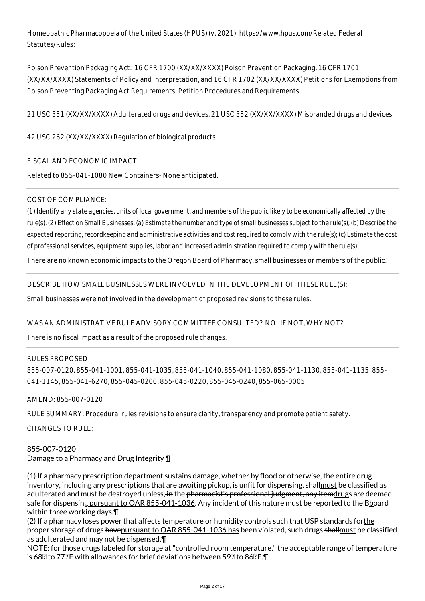Homeopathic Pharmacopoeia of the United States (HPUS) (v. 2021): https://www.hpus.com/Related Federal Statutes/Rules:

Poison Prevention Packaging Act: 16 CFR 1700 (XX/XX/XXXX) Poison Prevention Packaging, 16 CFR 1701 (XX/XX/XXXX) Statements of Policy and Interpretation, and 16 CFR 1702 (XX/XX/XXXX) Petitions for Exemptions from Poison Preventing Packaging Act Requirements; Petition Procedures and Requirements

21 USC 351 (XX/XX/XXXX) Adulterated drugs and devices, 21 USC 352 (XX/XX/XXXX) Misbranded drugs and devices

# 42 USC 262 (XX/XX/XXXX) Regulation of biological products

# FISCAL AND ECONOMIC IMPACT:

Related to 855-041-1080 New Containers- None anticipated.

### COST OF COMPLIANCE:

*(1) Identify any state agencies, units of local government, and members of the public likely to be economically affected by the rule(s). (2) Effect on Small Businesses: (a) Estimate the number and type of small businesses subject to the rule(s); (b) Describe the expected reporting, recordkeeping and administrative activities and cost required to comply with the rule(s); (c) Estimate the cost of professional services, equipment supplies, labor and increased administration required to comply with the rule(s).*

There are no known economic impacts to the Oregon Board of Pharmacy, small businesses or members of the public.

DESCRIBE HOW SMALL BUSINESSES WERE INVOLVED IN THE DEVELOPMENT OF THESE RULE(S):

Small businesses were not involved in the development of proposed revisions to these rules.

# WAS AN ADMINISTRATIVE RULE ADVISORY COMMITTEE CONSULTED? NO IF NOT, WHY NOT?

There is no fiscal impact as a result of the proposed rule changes.

#### RULES PROPOSED:

855-007-0120, 855-041-1001, 855-041-1035, 855-041-1040, 855-041-1080, 855-041-1130, 855-041-1135, 855- 041-1145, 855-041-6270, 855-045-0200, 855-045-0220, 855-045-0240, 855-065-0005

AMEND: 855-007-0120

RULE SUMMARY: Procedural rules revisions to ensure clarity, transparency and promote patient safety.

CHANGES TO RULE:

855-007-0120 Damage to a Pharmacy and Drug Integrity ¶

(1) If a pharmacy prescription department sustains damage, whether by flood or otherwise, the entire drug inventory, including any prescriptions that are awaiting pickup, is unfit for dispensing, shallmust be classified as adulterated and must be destroyed unless, in the pharmacist's professional judgment, any itemdrugs are deemed safe for dispensing pursuant to OAR 855-041-1036. Any incident of this nature must be reported to the Bhoard within three working days.¶

(2) If a pharmacy loses power that affects temperature or humidity controls such that USP standards for the proper storage of drugs havepursuant to OAR 855-041-1036 has been violated, such drugs shallmust be classified as adulterated and may not be dispensed.¶

NOTE: for those drugs labeled for storage at "controlled room temperature," the acceptable range of temperature is 682 to 772F with allowances for brief deviations between 592 to 862F. T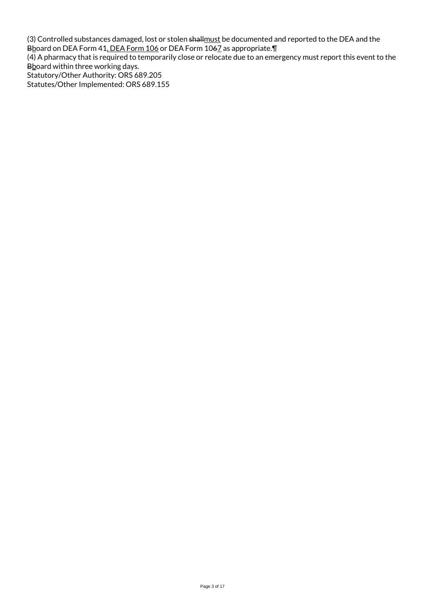(3) Controlled substances damaged, lost or stolen <del>shall<u>must</u> be documented and reported to the DEA and the</del> B<u>b</u>oard on DEA Form 41<u>, DEA Form 106</u> or DEA Form 10<del>6</del>Z as appropriate.¶ (4) A pharmacy that is required to temporarily close or relocate due to an emergency must report this event to the Bboard within three working days.

Statutory/Other Authority: ORS 689.205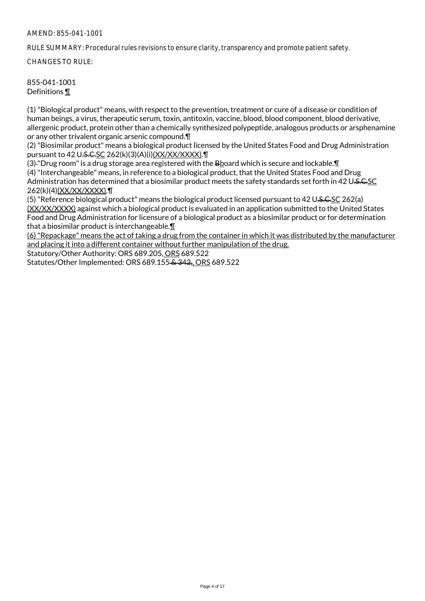RULE SUMMARY: Procedural rules revisions to ensure clarity, transparency and promote patient safety.

CHANGES TO RULE:

### 855-041-1001 Definitions ¶

(1) "Biological product" means, with respect to the prevention, treatment or cure of a disease or condition of human beings, a virus, therapeutic serum, toxin, antitoxin, vaccine, blood, blood component, blood derivative, allergenic product, protein other than a chemically synthesized polypeptide, analogous products or arsphenamine or any other trivalent organic arsenic compound.¶

(2) "Biosimilar product" means a biological product licensed by the United States Food and Drug Administration pursuant to 42 U.S.C.SC 262(k)(3)(A)(i)(XX/XX/XXXX). [

(3)-"Drug room" is a drug storage area registered with the Bboard which is secure and lockable. [1] (4) "Interchangeable" means, in reference to a biological product, that the United States Food and Drug Administration has determined that a biosimilar product meets the safety standards set forth in 42 U.S.C.SC 262(k)(4)(XX/XX/XXXX).¶

(5) "Reference biological product" means the biological product licensed pursuant to 42 U.S.C.SC 262(a) (XX/XX/XXXX) against which a biological product is evaluated in an application submitted to the United States Food and Drug Administration for licensure of a biological product as a biosimilar product or for determination that a biosimilar product is interchangeable.¶

(6) "Repackage" means the act of taking a drug from the container in which it was distributed by the manufacturer and placing it into a different container without further manipulation of the drug.

Statutory/Other Authority: ORS 689.205, ORS 689.522

Statutes/Other Implemented: ORS 689.155 & 342,, ORS 689.522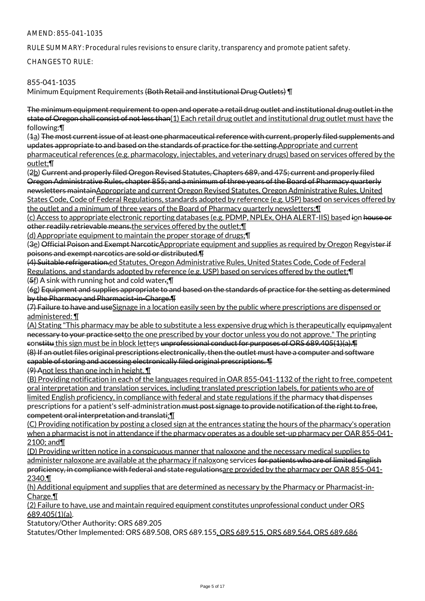RULE SUMMARY: Procedural rules revisions to ensure clarity, transparency and promote patient safety.

CHANGES TO RULE:

# 855-041-1035

Minimum Equipment Requirements (Both Retail and Institutional Drug Outlets) \[

The minimum equipment requirement to open and operate a retail drug outlet and institutional drug outlet in the state of Oregon shall consist of not less than(1) Each retail drug outlet and institutional drug outlet must have the following:¶

(1a) The most current issue of at least one pharmaceutical reference with current, properly filed supplements and updates appropriate to and based on the standards of practice for the setting. Appropriate and current pharmaceutical references (e.g. pharmacology, injectables, and veterinary drugs) based on services offered by the outlet;¶

(2b) Current and properly filed Oregon Revised Statutes, Chapters 689, and 475; current and properly filed Oregon Administrative Rules, chapter 855; and a minimum of three years of the Board of Pharmacy quarterly newsletters maintainAppropriate and current Oregon Revised Statutes, Oregon Administrative Rules, United States Code, Code of Federal Regulations, standards adopted by reference (e.g. USP) based on services offered by the outlet and a minimum of three years of the Board of Pharmacy quarterly newsletters;¶

(c) Access to appropriate electronic reporting databases (e.g. PDMP, NPLEx, OHA ALERT-IIS) based ion house or other readily retrievable means.the services offered by the outlet;¶

(d) Appropriate equipment to maintain the proper storage of drugs;¶

(3e) Official Poison and Exempt NarcoticAppropriate equipment and supplies as required by Oregon Regvister if poisons and exempt narcotics are sold or distributed.¶

(4) Suitable refrigeration.ed Statutes, Oregon Administrative Rules, United States Code, Code of Federal Regulations, and standards adopted by reference (e.g. USP) based on services offered by the outlet; [I]  $(5f)$  A sink with running hot and cold water.;  $\P$ 

(6g) Equipment and supplies appropriate to and based on the standards of practice for the setting as determined by the Pharmacy and Pharmacist-in-Charge.¶

(7) Failure to have and useSignage in a location easily seen by the public where prescriptions are dispensed or administered: ¶

(A) Stating "This pharmacy may be able to substitute a less expensive drug which is therapeutically equipmvalent necessary to your practice setto the one prescribed by your doctor unless you do not approve." The printing constitu this sign must be in block letters unprofessional conduct for purposes of ORS 689.405(1)(a).¶ (8) If an outlet files original prescriptions electronically, then the outlet must have a computer and software capable of storing and accessing electronically filed original prescriptions. ¶

(9) Anot less than one inch in height. ¶

(B) Providing notification in each of the languages required in OAR 855-041-1132 of the right to free, competent oral interpretation and translation services, including translated prescription labels, for patients who are of limited English proficiency, in compliance with federal and state regulations if the pharmacy that dispenses prescriptions for a patient's self-administration must post signage to provide notification of the right to free, competent oral interpretation and translati;¶

(C) Providing notification by posting a closed sign at the entrances stating the hours of the pharmacy's operation when a pharmacist is not in attendance if the pharmacy operates as a double set-up pharmacy per OAR 855-041- 2100; and¶

(D) Providing written notice in a conspicuous manner that naloxone and the necessary medical supplies to administer naloxone are available at the pharmacy if naloxone services for patients who are of limited English proficiency, in compliance with federal and state regulationsare provided by the pharmacy per OAR 855-041-2340.¶

(h) Additional equipment and supplies that are determined as necessary by the Pharmacy or Pharmacist-in-Charge.<sup>¶</sup>

(2) Failure to have, use and maintain required equipment constitutes unprofessional conduct under ORS 689.405(1)(a).

Statutory/Other Authority: ORS 689.205

Statutes/Other Implemented: ORS 689.508, ORS 689.155, ORS 689.515, ORS 689.564, ORS 689.686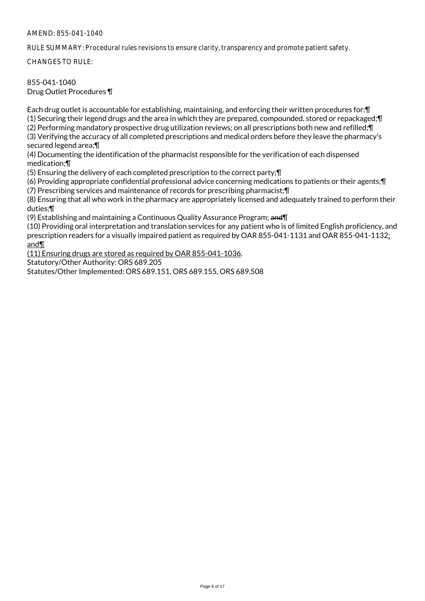RULE SUMMARY: Procedural rules revisions to ensure clarity, transparency and promote patient safety.

CHANGES TO RULE:

#### 855-041-1040 Drug Outlet Procedures ¶

Each drug outlet is accountable for establishing, maintaining, and enforcing their written procedures for:¶ (1) Securing their legend drugs and the area in which they are prepared, compounded, stored or repackaged;¶ (2) Performing mandatory prospective drug utilization reviews; on all prescriptions both new and refilled;¶ (3) Verifying the accuracy of all completed prescriptions and medical orders before they leave the pharmacy's secured legend area;¶

(4) Documenting the identification of the pharmacist responsible for the verification of each dispensed medication;¶

(5) Ensuring the delivery of each completed prescription to the correct party;¶

(6) Providing appropriate confidential professional advice concerning medications to patients or their agents;¶

(7) Prescribing services and maintenance of records for prescribing pharmacist;¶

(8) Ensuring that all who work in the pharmacy are appropriately licensed and adequately trained to perform their duties;¶

(9) Establishing and maintaining a Continuous Quality Assurance Program; and II

(10) Providing oral interpretation and translation services for any patient who is of limited English proficiency, and prescription readers for a visually impaired patient as required by OAR 855-041-1131 and OAR 855-041-1132; and¶

(11) Ensuring drugs are stored as required by OAR 855-041-1036.

Statutory/Other Authority: ORS 689.205

Statutes/Other Implemented: ORS 689.151, ORS 689.155, ORS 689.508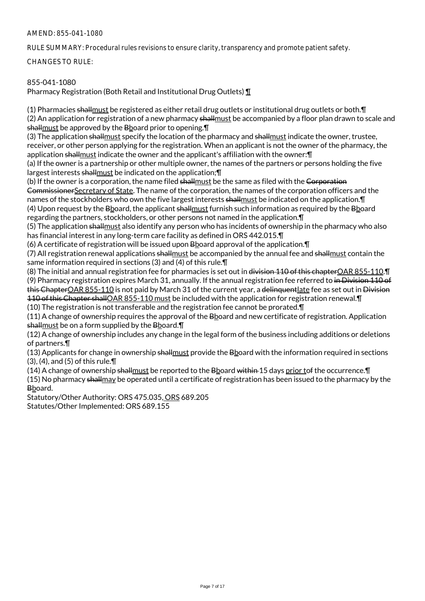RULE SUMMARY: Procedural rules revisions to ensure clarity, transparency and promote patient safety.

CHANGES TO RULE:

# 855-041-1080

Pharmacy Registration (Both Retail and Institutional Drug Outlets) ¶

(1) Pharmacies shallmust be registered as either retail drug outlets or institutional drug outlets or both.¶ (2) An application for registration of a new pharmacy shallmust be accompanied by a floor plan drawn to scale and shallmust be approved by the Bboard prior to opening. I

(3) The application shallmust specify the location of the pharmacy and shallmust indicate the owner, trustee, receiver, or other person applying for the registration. When an applicant is not the owner of the pharmacy, the application shallmust indicate the owner and the applicant's affiliation with the owner: [1]

(a) If the owner is a partnership or other multiple owner, the names of the partners or persons holding the five largest interests shallmust be indicated on the application; [1]

(b) If the owner is a corporation, the name filed shallmust be the same as filed with the Corporation CommissionerSecretary of State. The name of the corporation, the names of the corporation officers and the names of the stockholders who own the five largest interests shallmust be indicated on the application. In (4) Upon request by the Bboard, the applicant shallmust furnish such information as required by the Bboard regarding the partners, stockholders, or other persons not named in the application.¶

(5) The application shall must also identify any person who has incidents of ownership in the pharmacy who also has financial interest in any long-term care facility as defined in ORS 442.015.¶

(6) A certificate of registration will be issued upon  $B$  board approval of the application.  $\P$ 

(7) All registration renewal applications shallmust be accompanied by the annual fee and shallmust contain the same information required in sections (3) and (4) of this rule.

(8) The initial and annual registration fee for pharmacies is set out in division 110 of this chapterOAR 855-110.¶ (9) Pharmacy registration expires March 31, annually. If the annual registration fee referred to in Division 110 of this ChapterOAR 855-110 is not paid by March 31 of the current year, a delinquent late fee as set out in Division 110 of this Chapter shallOAR 855-110 must be included with the application for registration renewal.¶

(10) The registration is not transferable and the registration fee cannot be prorated.¶

(11) A change of ownership requires the approval of the Bboard and new certificate of registration. Application shallmust be on a form supplied by the Bboard.¶

(12) A change of ownership includes any change in the legal form of the business including additions or deletions of partners.¶

(13) Applicants for change in ownership shallmust provide the Bboard with the information required in sections (3), (4), and (5) of this rule.¶

(14) A change of ownership shall must be reported to the Bboard within 15 days prior tof the occurrence. $\P$ 

(15) No pharmacy shallmay be operated until a certificate of registration has been issued to the pharmacy by the Bboard.

Statutory/Other Authority: ORS 475.035, ORS 689.205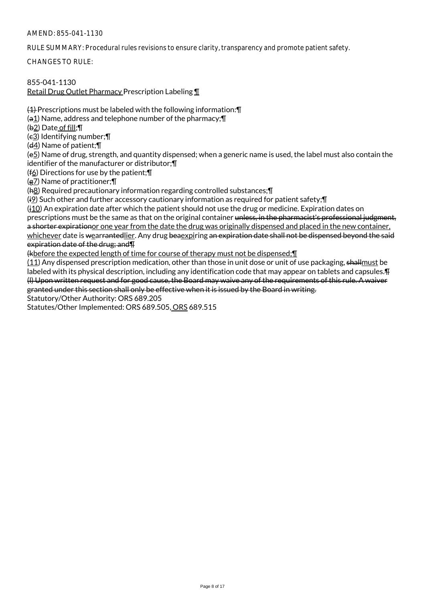RULE SUMMARY: Procedural rules revisions to ensure clarity, transparency and promote patient safety.

CHANGES TO RULE:

# 855-041-1130

Retail Drug Outlet Pharmacy Prescription Labeling ¶

(1) Prescriptions must be labeled with the following information:¶

(a1) Name, address and telephone number of the pharmacy;¶

(b2) Date of fill;¶

 $(e_3)$  Identifying number; $\P$ 

(d4) Name of patient;¶

(e5) Name of drug, strength, and quantity dispensed; when a generic name is used, the label must also contain the identifier of the manufacturer or distributor;¶

(f6) Directions for use by the patient;¶

(g7) Name of practitioner;¶

(h8) Required precautionary information regarding controlled substances;¶

(i9) Such other and further accessory cautionary information as required for patient safety;¶

(j10) An expiration date after which the patient should not use the drug or medicine. Expiration dates on prescriptions must be the same as that on the original container unless, in the pharmacist's professional judgment, a shorter expirationor one year from the date the drug was originally dispensed and placed in the new container, whichever date is wearrantedlier. Any drug beaexpiring an expiration date shall not be dispensed beyond the said expiration date of the drug; and¶

(kbefore the expected length of time for course of therapy must not be dispensed;¶

(11) Any dispensed prescription medication, other than those in unit dose or unit of use packaging, shallmust be labeled with its physical description, including any identification code that may appear on tablets and capsules.  $\text{F}$ (l) Upon written request and for good cause, the Board may waive any of the requirements of this rule. A waiver granted under this section shall only be effective when it is issued by the Board in writing.

Statutory/Other Authority: ORS 689.205

Statutes/Other Implemented: ORS 689.505, ORS 689.515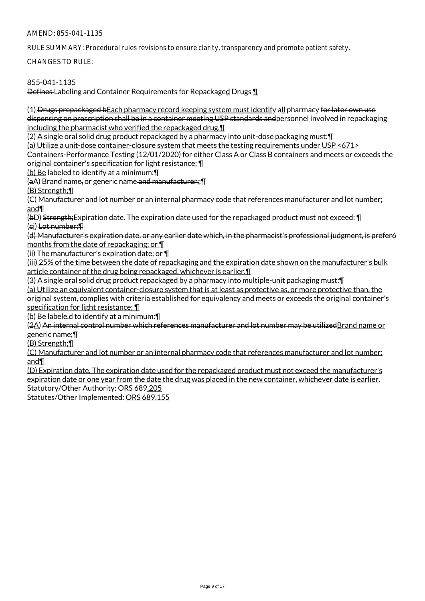RULE SUMMARY: Procedural rules revisions to ensure clarity, transparency and promote patient safety.

CHANGES TO RULE:

# 855-041-1135

Defines Labeling and Container Requirements for Repackaged Drugs ¶

(1) Drugs prepackaged bEach pharmacy record keeping system must identify all pharmacy for later own use dispensing on prescription shall be in a container meeting USP standards and personnel involved in repackaging including the pharmacist who verified the repackaged drug.¶

(2) A single oral solid drug product repackaged by a pharmacy into unit-dose packaging must:¶

(a) Utilize a unit-dose container-closure system that meets the testing requirements under USP <671>

Containers-Performance Testing (12/01/2020) for either Class A or Class B containers and meets or exceeds the original container's specification for light resistance; ¶

(b) Be labeled to identify at a minimum:¶

(aA) Brand name, or generic name and manufacturer;;¶

(B) Strength;¶

(C) Manufacturer and lot number or an internal pharmacy code that references manufacturer and lot number; and¶

(bD) Strength: Expiration date. The expiration date used for the repackaged product must not exceed: **[1]** (ci) Lot number;¶

(d) Manufacturer's expiration date, or any earlier date which, in the pharmacist's professional judgment, is prefer6 months from the date of repackaging; or ¶

(ii) The manufacturer's expiration date; or ¶

(iii) 25% of the time between the date of repackaging and the expiration date shown on the manufacturer's bulk article container of the drug being repackaged, whichever is earlier.¶

(3) A single oral solid drug product repackaged by a pharmacy into multiple-unit packaging must:¶

(a) Utilize an equivalent container-closure system that is at least as protective as, or more protective than, the

original system, complies with criteria established for equivalency and meets or exceeds the original container's specification for light resistance; ¶

(b) Be labele.d to identify at a minimum:¶

(2A) An internal control number which references manufacturer and lot number may be utilizedBrand name or generic name;¶

(B) Strength;¶

(C) Manufacturer and lot number or an internal pharmacy code that references manufacturer and lot number; and¶

(D) Expiration date. The expiration date used for the repackaged product must not exceed the manufacturer's expiration date or one year from the date the drug was placed in the new container, whichever date is earlier. Statutory/Other Authority: ORS 689.205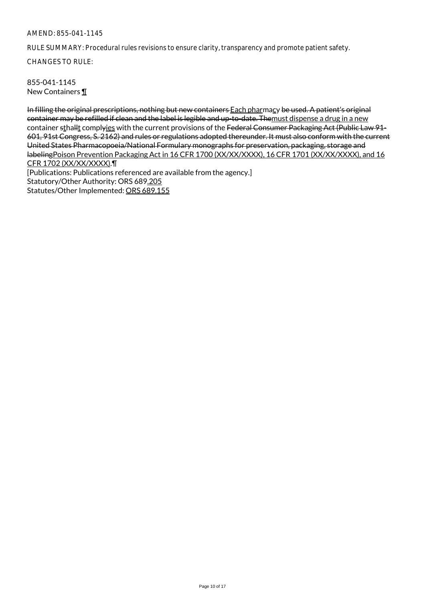RULE SUMMARY: Procedural rules revisions to ensure clarity, transparency and promote patient safety.

CHANGES TO RULE:

855-041-1145 New Containers ¶

In filling the original prescriptions, nothing but new containers Each pharmacy be used. A patient's original container may be refilled if clean and the label is legible and up-to-date. Themust dispense a drug in a new container sthallt complyies with the current provisions of the Federal Consumer Packaging Act (Public Law 91-601, 91st Congress, S. 2162) and rules or regulations adopted thereunder. It must also conform with the current United States Pharmacopoeia/National Formulary monographs for preservation, packaging, storage and labelingPoison Prevention Packaging Act in 16 CFR 1700 (XX/XX/XXXX), 16 CFR 1701 (XX/XX/XXXX), and 16 CFR 1702 (XX/XX/XXXX).¶ [Publications: Publications referenced are available from the agency.] Statutory/Other Authority: ORS 689.205 Statutes/Other Implemented: ORS 689.155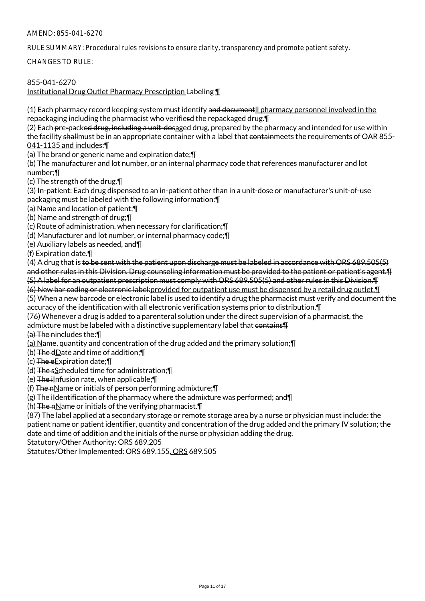RULE SUMMARY: Procedural rules revisions to ensure clarity, transparency and promote patient safety.

CHANGES TO RULE:

# 855-041-6270

Institutional Drug Outlet Pharmacy Prescription Labeling ¶

(1) Each pharmacy record keeping system must identify and documentll pharmacy personnel involved in the repackaging including the pharmacist who verifiesd the repackaged drug.¶

(2) Each pre-packe<del>d drug, including a unit-dosaged</del> drug, prepared by the pharmacy and intended for use within the facility shallmust be in an appropriate container with a label that containmeets the requirements of OAR 855-041-1135 and includes:¶

(a) The brand or generic name and expiration date;¶

(b) The manufacturer and lot number, or an internal pharmacy code that references manufacturer and lot number;¶

(c) The strength of the drug.¶

(3) In-patient: Each drug dispensed to an in-patient other than in a unit-dose or manufacturer's unit-of-use packaging must be labeled with the following information:¶

(a) Name and location of patient;¶

(b) Name and strength of drug;¶

(c) Route of administration, when necessary for clarification;¶

(d) Manufacturer and lot number, or internal pharmacy code;¶

(e) Auxiliary labels as needed, and¶

(f) Expiration date.¶

(4) A drug that is to be sent with the patient upon discharge must be labeled in accordance with ORS 689.505(5) and other rules in this Division. Drug counseling information must be provided to the patient or patient's agent.¶ (5) A label for an outpatient prescription must comply with ORS 689.505(5) and other rules in this Division.¶

(6) New bar coding or electronic label:provided for outpatient use must be dispensed by a retail drug outlet.¶ (5) When a new barcode or electronic label is used to identify a drug the pharmacist must verify and document the accuracy of the identification with all electronic verification systems prior to distribution.¶

 $(76)$  Whenever a drug is added to a parenteral solution under the direct supervision of a pharmacist, the

admixture must be labeled with a distinctive supplementary label that contains.

(a) The nincludes the:¶

(a) Name, quantity and concentration of the drug added and the primary solution;¶

(b) The dDate and time of addition;¶

 $(c)$  The eExpiration date; $\P$ 

(d) The sScheduled time for administration;¶

 $(e)$  The ilnfusion rate, when applicable;  $\P$ 

(f) The nName or initials of person performing admixture; $\P$ 

 $(g)$  The ildentification of the pharmacy where the admixture was performed; and  $\P$ 

(h) The nName or initials of the verifying pharmacist.¶

(87) The label applied at a secondary storage or remote storage area by a nurse or physician must include: the patient name or patient identifier, quantity and concentration of the drug added and the primary IV solution; the date and time of addition and the initials of the nurse or physician adding the drug.

Statutory/Other Authority: ORS 689.205

Statutes/Other Implemented: ORS 689.155, ORS 689.505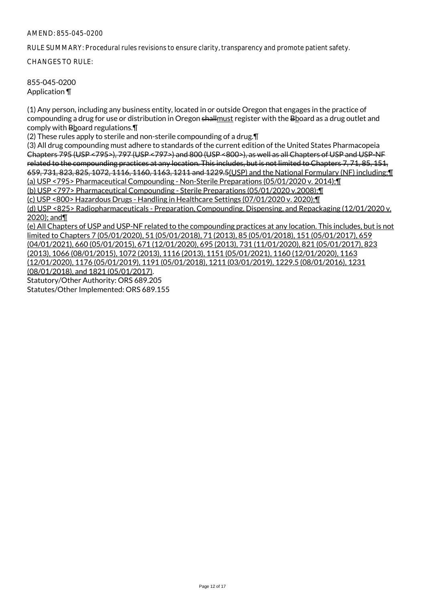RULE SUMMARY: Procedural rules revisions to ensure clarity, transparency and promote patient safety.

CHANGES TO RULE:

855-045-0200 Application ¶

(1) Any person, including any business entity, located in or outside Oregon that engages in the practice of compounding a drug for use or distribution in Oregon shallmust register with the Bboard as a drug outlet and comply with Bboard regulations.¶

(2) These rules apply to sterile and non-sterile compounding of a drug.¶

(3) All drug compounding must adhere to standards of the current edition of the United States Pharmacopeia Chapters 795 (USP <795>), 797 (USP <797>) and 800 (USP <800>), as well as all Chapters of USP and USP-NF related to the compounding practices at any location. This includes, but is not limited to Chapters 7, 71, 85, 151, 659, 731, 823, 825, 1072, 1116, 1160, 1163, 1211 and 1229.5(USP) and the National Formulary (NF) including:¶ (a) USP <795> Pharmaceutical Compounding - Non-Sterile Preparations (05/01/2020 v. 2014);¶

(b) USP <797> Pharmaceutical Compounding - Sterile Preparations (05/01/2020 v.2008);¶

(c) USP <800> Hazardous Drugs - Handling in Healthcare Settings (07/01/2020 v. 2020);¶

(d) USP <825> Radiopharmaceuticals - Preparation, Compounding, Dispensing, and Repackaging (12/01/2020 v. 2020); and¶

(e) All Chapters of USP and USP-NF related to the compounding practices at any location. This includes, but is not limited to Chapters 7 (05/01/2020), 51 (05/01/2018), 71 (2013), 85 (05/01/2018), 151 (05/01/2017), 659 (04/01/2021), 660 (05/01/2015), 671 (12/01/2020), 695 (2013), 731 (11/01/2020), 821 (05/01/2017), 823 (2013), 1066 (08/01/2015), 1072 (2013), 1116 (2013), 1151 (05/01/2021), 1160 (12/01/2020), 1163 (12/01/2020), 1176 (05/01/2019), 1191 (05/01/2018), 1211 (03/01/2019), 1229.5 (08/01/2016), 1231 (08/01/2018), and 1821 (05/01/2017). Statutory/Other Authority: ORS 689.205 Statutes/Other Implemented: ORS 689.155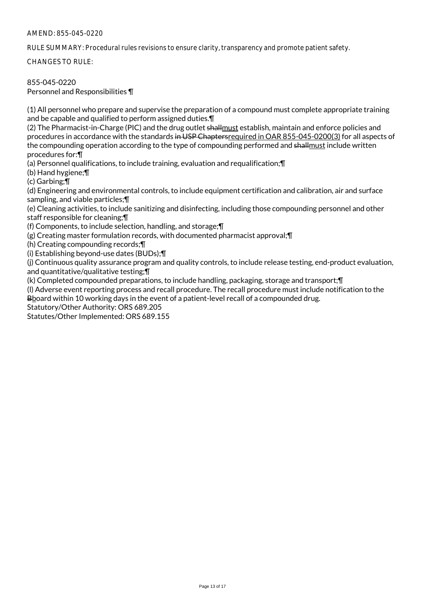RULE SUMMARY: Procedural rules revisions to ensure clarity, transparency and promote patient safety.

CHANGES TO RULE:

# 855-045-0220

Personnel and Responsibilities ¶

(1) All personnel who prepare and supervise the preparation of a compound must complete appropriate training and be capable and qualified to perform assigned duties.¶

(2) The Pharmacist-in-Charge (PIC) and the drug outlet shall must establish, maintain and enforce policies and procedures in accordance with the standards in USP Chaptersrequired in OAR 855-045-0200(3) for all aspects of the compounding operation according to the type of compounding performed and shallmust include written procedures for:¶

(a) Personnel qualifications, to include training, evaluation and requalification;¶

(b) Hand hygiene;¶

(c) Garbing;¶

(d) Engineering and environmental controls, to include equipment certification and calibration, air and surface sampling, and viable particles;¶

(e) Cleaning activities, to include sanitizing and disinfecting, including those compounding personnel and other staff responsible for cleaning;¶

(f) Components, to include selection, handling, and storage;¶

(g) Creating master formulation records, with documented pharmacist approval;¶

(h) Creating compounding records;¶

(i) Establishing beyond-use dates (BUDs);¶

(j) Continuous quality assurance program and quality controls, to include release testing, end-product evaluation, and quantitative/qualitative testing;¶

(k) Completed compounded preparations, to include handling, packaging, storage and transport;¶

(l) Adverse event reporting process and recall procedure. The recall procedure must include notification to the Bboard within 10 working days in the event of a patient-level recall of a compounded drug.

Statutory/Other Authority: ORS 689.205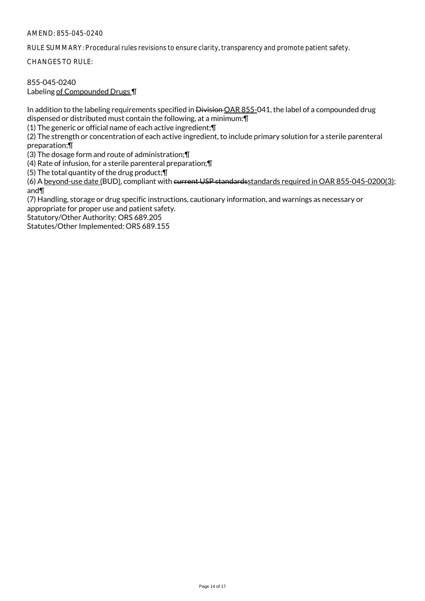RULE SUMMARY: Procedural rules revisions to ensure clarity, transparency and promote patient safety.

CHANGES TO RULE:

#### 855-045-0240 Labeling of Compounded Drugs ¶

In addition to the labeling requirements specified in Division OAR 855-041, the label of a compounded drug dispensed or distributed must contain the following, at a minimum:¶

(1) The generic or official name of each active ingredient;¶

(2) The strength or concentration of each active ingredient, to include primary solution for a sterile parenteral preparation;¶

(3) The dosage form and route of administration;¶

(4) Rate of infusion, for a sterile parenteral preparation;¶

(5) The total quantity of the drug product;¶

(6) A beyond-use date (BUD), compliant with current USP standardsstandards required in OAR 855-045-0200(3); and¶

(7) Handling, storage or drug specific instructions, cautionary information, and warnings as necessary or appropriate for proper use and patient safety.

Statutory/Other Authority: ORS 689.205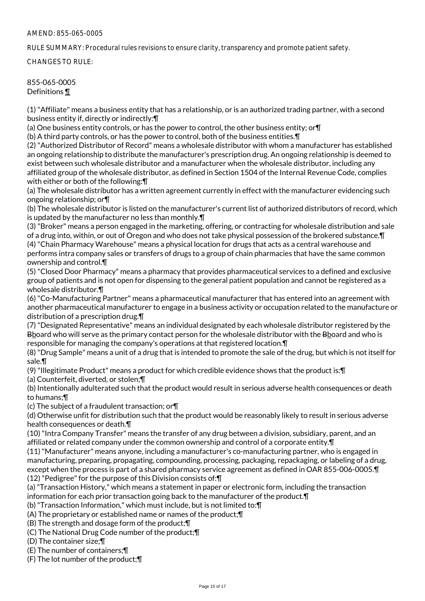#### AMEND: 855-065-0005

RULE SUMMARY: Procedural rules revisions to ensure clarity, transparency and promote patient safety.

CHANGES TO RULE:

# 855-065-0005 Definitions ¶

(1) "Affiliate" means a business entity that has a relationship, or is an authorized trading partner, with a second business entity if, directly or indirectly:¶

(a) One business entity controls, or has the power to control, the other business entity; or¶

(b) A third party controls, or has the power to control, both of the business entities.¶

(2) "Authorized Distributor of Record" means a wholesale distributor with whom a manufacturer has established an ongoing relationship to distribute the manufacturer's prescription drug. An ongoing relationship is deemed to exist between such wholesale distributor and a manufacturer when the wholesale distributor, including any affiliated group of the wholesale distributor, as defined in Section 1504 of the Internal Revenue Code, complies with either or both of the following:¶

(a) The wholesale distributor has a written agreement currently in effect with the manufacturer evidencing such ongoing relationship; or¶

(b) The wholesale distributor is listed on the manufacturer's current list of authorized distributors of record, which is updated by the manufacturer no less than monthly.¶

(3) "Broker" means a person engaged in the marketing, offering, or contracting for wholesale distribution and sale of a drug into, within, or out of Oregon and who does not take physical possession of the brokered substance.¶ (4) "Chain Pharmacy Warehouse" means a physical location for drugs that acts as a central warehouse and performs intra company sales or transfers of drugs to a group of chain pharmacies that have the same common ownership and control.¶

(5) "Closed Door Pharmacy" means a pharmacy that provides pharmaceutical services to a defined and exclusive group of patients and is not open for dispensing to the general patient population and cannot be registered as a wholesale distributor.¶

(6) "Co-Manufacturing Partner" means a pharmaceutical manufacturer that has entered into an agreement with another pharmaceutical manufacturer to engage in a business activity or occupation related to the manufacture or distribution of a prescription drug.¶

(7) "Designated Representative" means an individual designated by each wholesale distributor registered by the Bboard who will serve as the primary contact person for the wholesale distributor with the Bboard and who is responsible for managing the company's operations at that registered location.¶

(8) "Drug Sample" means a unit of a drug that is intended to promote the sale of the drug, but which is not itself for sale.¶

(9) "Illegitimate Product" means a product for which credible evidence shows that the product is:¶

(a) Counterfeit, diverted, or stolen;¶

(b) Intentionally adulterated such that the product would result in serious adverse health consequences or death to humans;¶

(c) The subject of a fraudulent transaction; or¶

(d) Otherwise unfit for distribution such that the product would be reasonably likely to result in serious adverse health consequences or death.¶

(10) "Intra Company Transfer" means the transfer of any drug between a division, subsidiary, parent, and an affiliated or related company under the common ownership and control of a corporate entity.¶

(11) "Manufacturer" means anyone, including a manufacturer's co-manufacturing partner, who is engaged in manufacturing, preparing, propagating, compounding, processing, packaging, repackaging, or labeling of a drug, except when the process is part of a shared pharmacy service agreement as defined in OAR 855-006-0005.¶ (12) "Pedigree" for the purpose of this Division consists of:¶

(a) "Transaction History," which means a statement in paper or electronic form, including the transaction information for each prior transaction going back to the manufacturer of the product.¶

(b) "Transaction Information," which must include, but is not limited to:¶

(A) The proprietary or established name or names of the product;¶

(B) The strength and dosage form of the product;¶

(C) The National Drug Code number of the product;¶

(D) The container size;¶

(E) The number of containers;¶

(F) The lot number of the product;¶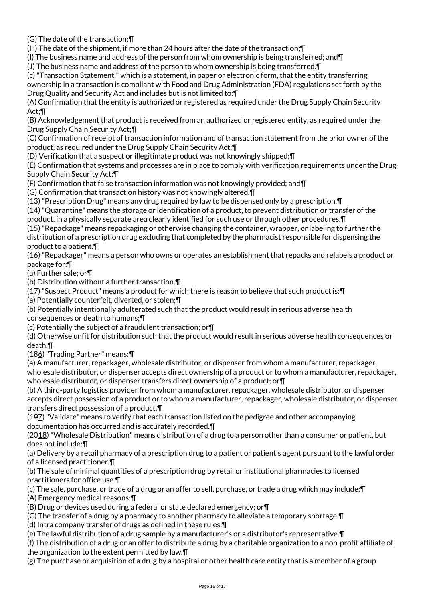(G) The date of the transaction;¶

(H) The date of the shipment, if more than 24 hours after the date of the transaction;¶

(I) The business name and address of the person from whom ownership is being transferred; and  $\P$ 

(J) The business name and address of the person to whom ownership is being transferred.¶

(c) "Transaction Statement," which is a statement, in paper or electronic form, that the entity transferring ownership in a transaction is compliant with Food and Drug Administration (FDA) regulations set forth by the Drug Quality and Security Act and includes but is not limited to:¶

(A) Confirmation that the entity is authorized or registered as required under the Drug Supply Chain Security Act;¶

(B) Acknowledgement that product is received from an authorized or registered entity, as required under the Drug Supply Chain Security Act;¶

(C) Confirmation of receipt of transaction information and of transaction statement from the prior owner of the product, as required under the Drug Supply Chain Security Act;¶

(D) Verification that a suspect or illegitimate product was not knowingly shipped;¶

(E) Confirmation that systems and processes are in place to comply with verification requirements under the Drug Supply Chain Security Act;¶

(F) Confirmation that false transaction information was not knowingly provided; and¶

(G) Confirmation that transaction history was not knowingly altered.¶

(13) "Prescription Drug" means any drug required by law to be dispensed only by a prescription.¶

(14) "Quarantine" means the storage or identification of a product, to prevent distribution or transfer of the product, in a physically separate area clearly identified for such use or through other procedures.¶

(15) "Repackage" means repackaging or otherwise changing the container, wrapper, or labeling to further the distribution of a prescription drug excluding that completed by the pharmacist responsible for dispensing the product to a patient.¶

(16) "Repackager" means a person who owns or operates an establishment that repacks and relabels a product or package for:¶

(a) Further sale; or¶

(b) Distribution without a further transaction.¶

(17) "Suspect Product" means a product for which there is reason to believe that such product is:¶

(a) Potentially counterfeit, diverted, or stolen;¶

(b) Potentially intentionally adulterated such that the product would result in serious adverse health consequences or death to humans;¶

(c) Potentially the subject of a fraudulent transaction; or¶

(d) Otherwise unfit for distribution such that the product would result in serious adverse health consequences or death.¶

(186) "Trading Partner" means:¶

(a) A manufacturer, repackager, wholesale distributor, or dispenser from whom a manufacturer, repackager, wholesale distributor, or dispenser accepts direct ownership of a product or to whom a manufacturer, repackager, wholesale distributor, or dispenser transfers direct ownership of a product; or¶

(b) A third-party logistics provider from whom a manufacturer, repackager, wholesale distributor, or dispenser accepts direct possession of a product or to whom a manufacturer, repackager, wholesale distributor, or dispenser transfers direct possession of a product.¶

(197) "Validate" means to verify that each transaction listed on the pedigree and other accompanying documentation has occurred and is accurately recorded.¶

(2018) "Wholesale Distribution" means distribution of a drug to a person other than a consumer or patient, but does not include:¶

(a) Delivery by a retail pharmacy of a prescription drug to a patient or patient's agent pursuant to the lawful order of a licensed practitioner.¶

(b) The sale of minimal quantities of a prescription drug by retail or institutional pharmacies to licensed practitioners for office use.¶

(c) The sale, purchase, or trade of a drug or an offer to sell, purchase, or trade a drug which may include:¶ (A) Emergency medical reasons;¶

(B) Drug or devices used during a federal or state declared emergency; or¶

(C) The transfer of a drug by a pharmacy to another pharmacy to alleviate a temporary shortage.¶

(d) Intra company transfer of drugs as defined in these rules.¶

(e) The lawful distribution of a drug sample by a manufacturer's or a distributor's representative.¶

(f) The distribution of a drug or an offer to distribute a drug by a charitable organization to a non-profit affiliate of the organization to the extent permitted by law.¶

(g) The purchase or acquisition of a drug by a hospital or other health care entity that is a member of a group